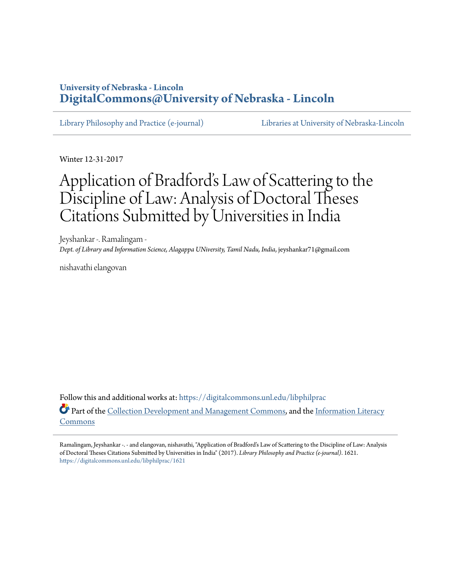# **University of Nebraska - Lincoln [DigitalCommons@University of Nebraska - Lincoln](https://digitalcommons.unl.edu?utm_source=digitalcommons.unl.edu%2Flibphilprac%2F1621&utm_medium=PDF&utm_campaign=PDFCoverPages)**

[Library Philosophy and Practice \(e-journal\)](https://digitalcommons.unl.edu/libphilprac?utm_source=digitalcommons.unl.edu%2Flibphilprac%2F1621&utm_medium=PDF&utm_campaign=PDFCoverPages) [Libraries at University of Nebraska-Lincoln](https://digitalcommons.unl.edu/libraries?utm_source=digitalcommons.unl.edu%2Flibphilprac%2F1621&utm_medium=PDF&utm_campaign=PDFCoverPages)

Winter 12-31-2017

# Application of Bradford's Law of Scattering to the Discipline of Law: Analysis of Doctoral Theses Citations Submitted by Universities in India

Jeyshankar -. Ramalingam - *Dept. of Library and Information Science, Alagappa UNiversity, Tamil Nadu, India*, jeyshankar71@gmail.com

nishavathi elangovan

Follow this and additional works at: [https://digitalcommons.unl.edu/libphilprac](https://digitalcommons.unl.edu/libphilprac?utm_source=digitalcommons.unl.edu%2Flibphilprac%2F1621&utm_medium=PDF&utm_campaign=PDFCoverPages) Part of the [Collection Development and Management Commons,](http://network.bepress.com/hgg/discipline/1271?utm_source=digitalcommons.unl.edu%2Flibphilprac%2F1621&utm_medium=PDF&utm_campaign=PDFCoverPages) and the [Information Literacy](http://network.bepress.com/hgg/discipline/1243?utm_source=digitalcommons.unl.edu%2Flibphilprac%2F1621&utm_medium=PDF&utm_campaign=PDFCoverPages) [Commons](http://network.bepress.com/hgg/discipline/1243?utm_source=digitalcommons.unl.edu%2Flibphilprac%2F1621&utm_medium=PDF&utm_campaign=PDFCoverPages)

Ramalingam, Jeyshankar -. - and elangovan, nishavathi, "Application of Bradford's Law of Scattering to the Discipline of Law: Analysis of Doctoral Theses Citations Submitted by Universities in India" (2017). *Library Philosophy and Practice (e-journal)*. 1621. [https://digitalcommons.unl.edu/libphilprac/1621](https://digitalcommons.unl.edu/libphilprac/1621?utm_source=digitalcommons.unl.edu%2Flibphilprac%2F1621&utm_medium=PDF&utm_campaign=PDFCoverPages)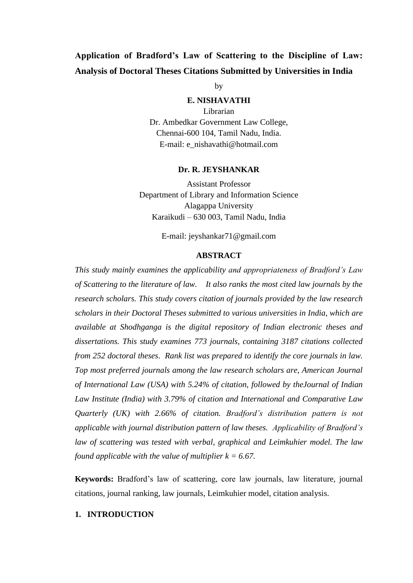# **Application of Bradford's Law of Scattering to the Discipline of Law: Analysis of Doctoral Theses Citations Submitted by Universities in India**

by

# **E. NISHAVATHI**

Librarian Dr. Ambedkar Government Law College, Chennai-600 104, Tamil Nadu, India. E-mail: e\_nishavathi@hotmail.com

#### **Dr. R. JEYSHANKAR**

Assistant Professor Department of Library and Information Science Alagappa University Karaikudi – 630 003, Tamil Nadu, India

E-mail: jeyshankar71@gmail.com

# **ABSTRACT**

*This study mainly examines the applicability and appropriateness of Bradford's Law of Scattering to the literature of law. It also ranks the most cited law journals by the research scholars. This study covers citation of journals provided by the law research scholars in their Doctoral Theses submitted to various universities in India, which are available at Shodhganga is the digital repository of Indian electronic theses and dissertations. This study examines 773 journals, containing 3187 citations collected from 252 doctoral theses. Rank list was prepared to identify the core journals in law. Top most preferred journals among the law research scholars are, American Journal of International Law (USA) with 5.24% of citation, followed by theJournal of Indian Law Institute (India) with 3.79% of citation and International and Comparative Law Quarterly (UK) with 2.66% of citation. Bradford's distribution pattern is not applicable with journal distribution pattern of law theses. Applicability of Bradford's law of scattering was tested with verbal, graphical and Leimkuhier model. The law found applicable with the value of multiplier*  $k = 6.67$ *.* 

**Keywords:** Bradford's law of scattering, core law journals, law literature, journal citations, journal ranking, law journals, Leimkuhier model, citation analysis.

# **1. INTRODUCTION**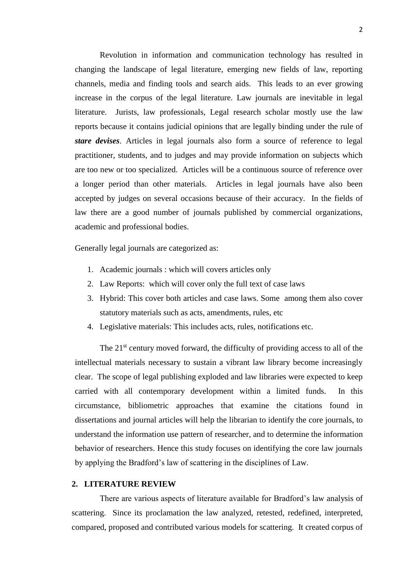Revolution in information and communication technology has resulted in changing the landscape of legal literature, emerging new fields of law, reporting channels, media and finding tools and search aids. This leads to an ever growing increase in the corpus of the legal literature. Law journals are inevitable in legal literature. Jurists, law professionals, Legal research scholar mostly use the law reports because it contains judicial opinions that are legally binding under the rule of *stare devises*. Articles in legal journals also form a source of reference to legal practitioner, students, and to judges and may provide information on subjects which are too new or too specialized. Articles will be a continuous source of reference over a longer period than other materials. Articles in legal journals have also been accepted by judges on several occasions because of their accuracy. In the fields of law there are a good number of journals published by commercial organizations, academic and professional bodies.

Generally legal journals are categorized as:

- 1. Academic journals : which will covers articles only
- 2. Law Reports: which will cover only the full text of case laws
- 3. Hybrid: This cover both articles and case laws. Some among them also cover statutory materials such as acts, amendments, rules, etc
- 4. Legislative materials: This includes acts, rules, notifications etc.

The 21<sup>st</sup> century moved forward, the difficulty of providing access to all of the intellectual materials necessary to sustain a vibrant law library become increasingly clear. The scope of legal publishing exploded and law libraries were expected to keep carried with all contemporary development within a limited funds. In this circumstance, bibliometric approaches that examine the citations found in dissertations and journal articles will help the librarian to identify the core journals, to understand the information use pattern of researcher, and to determine the information behavior of researchers. Hence this study focuses on identifying the core law journals by applying the Bradford's law of scattering in the disciplines of Law.

#### **2. LITERATURE REVIEW**

There are various aspects of literature available for Bradford's law analysis of scattering. Since its proclamation the law analyzed, retested, redefined, interpreted, compared, proposed and contributed various models for scattering. It created corpus of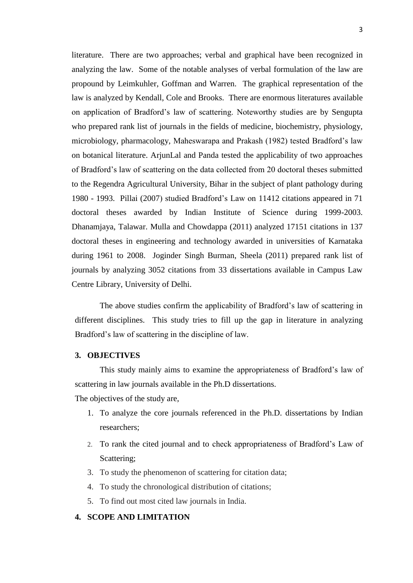literature. There are two approaches; verbal and graphical have been recognized in analyzing the law. Some of the notable analyses of verbal formulation of the law are propound by Leimkuhler, Goffman and Warren. The graphical representation of the law is analyzed by Kendall, Cole and Brooks. There are enormous literatures available on application of Bradford's law of scattering. Noteworthy studies are by Sengupta who prepared rank list of journals in the fields of medicine, biochemistry, physiology, microbiology, pharmacology, Maheswarapa and Prakash (1982) tested Bradford's law on botanical literature. ArjunLal and Panda tested the applicability of two approaches of Bradford's law of scattering on the data collected from 20 doctoral theses submitted to the Regendra Agricultural University, Bihar in the subject of plant pathology during 1980 - 1993. Pillai (2007) studied Bradford's Law on 11412 citations appeared in 71 doctoral theses awarded by Indian Institute of Science during 1999-2003. Dhanamjaya, Talawar. Mulla and Chowdappa (2011) analyzed 17151 citations in 137 doctoral theses in engineering and technology awarded in universities of Karnataka during 1961 to 2008. Joginder Singh Burman, Sheela (2011) prepared rank list of journals by analyzing 3052 citations from 33 dissertations available in Campus Law Centre Library, University of Delhi.

The above studies confirm the applicability of Bradford's law of scattering in different disciplines. This study tries to fill up the gap in literature in analyzing Bradford's law of scattering in the discipline of law.

#### **3. OBJECTIVES**

This study mainly aims to examine the appropriateness of Bradford's law of scattering in law journals available in the Ph.D dissertations.

The objectives of the study are,

- 1. To analyze the core journals referenced in the Ph.D. dissertations by Indian researchers;
- 2. To rank the cited journal and to check appropriateness of Bradford's Law of Scattering;
- 3. To study the phenomenon of scattering for citation data;
- 4. To study the chronological distribution of citations;
- 5. To find out most cited law journals in India.

# **4. SCOPE AND LIMITATION**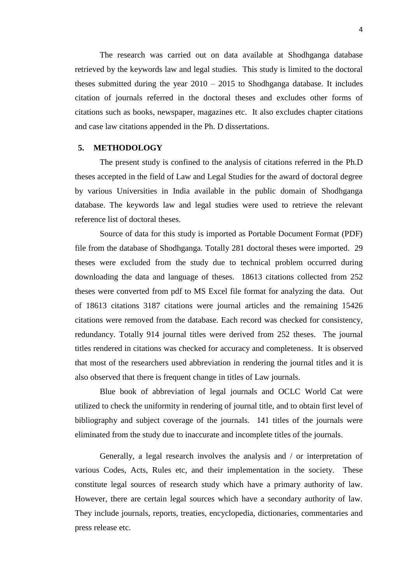The research was carried out on data available at Shodhganga database retrieved by the keywords law and legal studies. This study is limited to the doctoral theses submitted during the year 2010 – 2015 to Shodhganga database. It includes citation of journals referred in the doctoral theses and excludes other forms of citations such as books, newspaper, magazines etc. It also excludes chapter citations and case law citations appended in the Ph. D dissertations.

## **5. METHODOLOGY**

The present study is confined to the analysis of citations referred in the Ph.D theses accepted in the field of Law and Legal Studies for the award of doctoral degree by various Universities in India available in the public domain of Shodhganga database. The keywords law and legal studies were used to retrieve the relevant reference list of doctoral theses.

Source of data for this study is imported as Portable Document Format (PDF) file from the database of Shodhganga. Totally 281 doctoral theses were imported. 29 theses were excluded from the study due to technical problem occurred during downloading the data and language of theses. 18613 citations collected from 252 theses were converted from pdf to MS Excel file format for analyzing the data. Out of 18613 citations 3187 citations were journal articles and the remaining 15426 citations were removed from the database. Each record was checked for consistency, redundancy. Totally 914 journal titles were derived from 252 theses. The journal titles rendered in citations was checked for accuracy and completeness. It is observed that most of the researchers used abbreviation in rendering the journal titles and it is also observed that there is frequent change in titles of Law journals.

Blue book of abbreviation of legal journals and OCLC World Cat were utilized to check the uniformity in rendering of journal title, and to obtain first level of bibliography and subject coverage of the journals. 141 titles of the journals were eliminated from the study due to inaccurate and incomplete titles of the journals.

Generally, a legal research involves the analysis and / or interpretation of various Codes, Acts, Rules etc, and their implementation in the society. These constitute legal sources of research study which have a primary authority of law. However, there are certain legal sources which have a secondary authority of law. They include journals, reports, treaties, encyclopedia, dictionaries, commentaries and press release etc.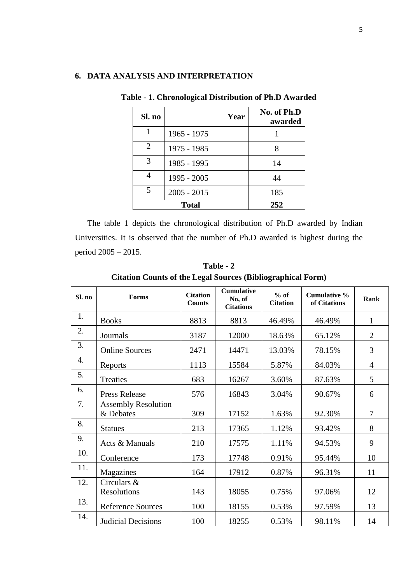# **6. DATA ANALYSIS AND INTERPRETATION**

| Sl. no        | Year          | No. of Ph.D<br>awarded |
|---------------|---------------|------------------------|
|               | 1965 - 1975   |                        |
| 2             | 1975 - 1985   | 8                      |
| $\mathcal{R}$ | 1985 - 1995   | 14                     |
|               | 1995 - 2005   | 44                     |
| 5             | $2005 - 2015$ | 185                    |
|               | <b>Total</b>  | 252                    |

**Table - 1. Chronological Distribution of Ph.D Awarded** 

The table 1 depicts the chronological distribution of Ph.D awarded by Indian Universities. It is observed that the number of Ph.D awarded is highest during the period 2005 – 2015.

| Sl. no | <b>Forms</b>                            | <b>Citation</b><br><b>Counts</b> | <b>Cumulative</b><br>No, of<br><b>Citations</b> | $%$ of<br><b>Citation</b> | <b>Cumulative %</b><br>of Citations | Rank           |
|--------|-----------------------------------------|----------------------------------|-------------------------------------------------|---------------------------|-------------------------------------|----------------|
| 1.     | <b>Books</b>                            | 8813                             | 8813                                            | 46.49%                    | 46.49%                              | $\mathbf{1}$   |
| 2.     | Journals                                | 3187                             | 12000                                           | 18.63%                    | 65.12%                              | $\overline{c}$ |
| 3.     | <b>Online Sources</b>                   | 2471                             | 14471                                           | 13.03%                    | 78.15%                              | 3              |
| 4.     | Reports                                 | 1113                             | 15584                                           | 5.87%                     | 84.03%                              | $\overline{4}$ |
| 5.     | Treaties                                | 683                              | 16267                                           | 3.60%                     | 87.63%                              | 5              |
| 6.     | <b>Press Release</b>                    | 576                              | 16843                                           | 3.04%                     | 90.67%                              | 6              |
| 7.     | <b>Assembly Resolution</b><br>& Debates | 309                              | 17152                                           | 1.63%                     | 92.30%                              | 7              |
| 8.     | <b>Statues</b>                          | 213                              | 17365                                           | 1.12%                     | 93.42%                              | 8              |
| 9.     | Acts & Manuals                          | 210                              | 17575                                           | 1.11%                     | 94.53%                              | 9              |
| 10.    | Conference                              | 173                              | 17748                                           | 0.91%                     | 95.44%                              | 10             |
| 11.    | Magazines                               | 164                              | 17912                                           | 0.87%                     | 96.31%                              | 11             |
| 12.    | Circulars &<br>Resolutions              | 143                              | 18055                                           | 0.75%                     | 97.06%                              | 12             |
| 13.    | <b>Reference Sources</b>                | 100                              | 18155                                           | 0.53%                     | 97.59%                              | 13             |
| 14.    | <b>Judicial Decisions</b>               | 100                              | 18255                                           | 0.53%                     | 98.11%                              | 14             |

**Table - 2 Citation Counts of the Legal Sources (Bibliographical Form)**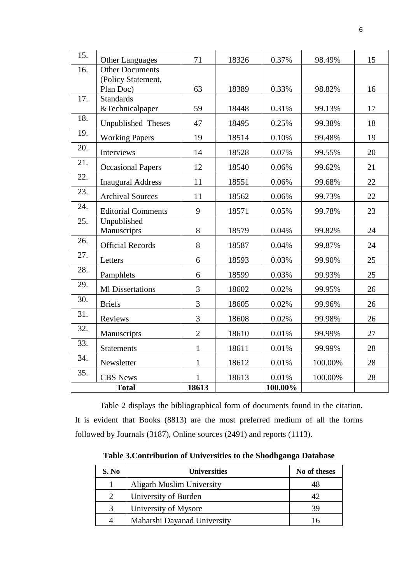| 15. | <b>Other Languages</b>          | 71             | 18326 | 0.37%   | 98.49%  | 15 |
|-----|---------------------------------|----------------|-------|---------|---------|----|
| 16. | <b>Other Documents</b>          |                |       |         |         |    |
|     | (Policy Statement,<br>Plan Doc) | 63             | 18389 | 0.33%   | 98.82%  | 16 |
| 17. | <b>Standards</b>                |                |       |         |         |    |
|     | &Technicalpaper                 | 59             | 18448 | 0.31%   | 99.13%  | 17 |
| 18. | Unpublished Theses              | 47             | 18495 | 0.25%   | 99.38%  | 18 |
| 19. | <b>Working Papers</b>           | 19             | 18514 | 0.10%   | 99.48%  | 19 |
| 20. | Interviews                      | 14             | 18528 | 0.07%   | 99.55%  | 20 |
| 21. | <b>Occasional Papers</b>        | 12             | 18540 | 0.06%   | 99.62%  | 21 |
| 22. | <b>Inaugural Address</b>        | 11             | 18551 | 0.06%   | 99.68%  | 22 |
| 23. | <b>Archival Sources</b>         | 11             | 18562 | 0.06%   | 99.73%  | 22 |
| 24. | <b>Editorial Comments</b>       | 9              | 18571 | 0.05%   | 99.78%  | 23 |
| 25. | Unpublished<br>Manuscripts      | 8              | 18579 | 0.04%   | 99.82%  | 24 |
| 26. | <b>Official Records</b>         | 8              | 18587 | 0.04%   | 99.87%  | 24 |
| 27. | Letters                         | 6              | 18593 | 0.03%   | 99.90%  | 25 |
| 28. | Pamphlets                       | 6              | 18599 | 0.03%   | 99.93%  | 25 |
| 29. | <b>Ml</b> Dissertations         | 3              | 18602 | 0.02%   | 99.95%  | 26 |
| 30. | <b>Briefs</b>                   | 3              | 18605 | 0.02%   | 99.96%  | 26 |
| 31. | Reviews                         | $\overline{3}$ | 18608 | 0.02%   | 99.98%  | 26 |
| 32. | Manuscripts                     | $\overline{2}$ | 18610 | 0.01%   | 99.99%  | 27 |
| 33. | <b>Statements</b>               | $\mathbf{1}$   | 18611 | 0.01%   | 99.99%  | 28 |
| 34. | Newsletter                      | $\mathbf{1}$   | 18612 | 0.01%   | 100.00% | 28 |
| 35. | <b>CBS</b> News                 |                | 18613 | 0.01%   | 100.00% | 28 |
|     | <b>Total</b>                    | 18613          |       | 100.00% |         |    |

Table 2 displays the bibliographical form of documents found in the citation. It is evident that Books (8813) are the most preferred medium of all the forms followed by Journals (3187), Online sources (2491) and reports (1113).

**Table 3.Contribution of Universities to the Shodhganga Database**

| S. No     | <b>Universities</b>              | No of theses |
|-----------|----------------------------------|--------------|
|           | <b>Aligarh Muslim University</b> |              |
| 2         | University of Burden             | 42           |
| 3         | University of Mysore             | 39           |
| $\Lambda$ | Maharshi Dayanad University      |              |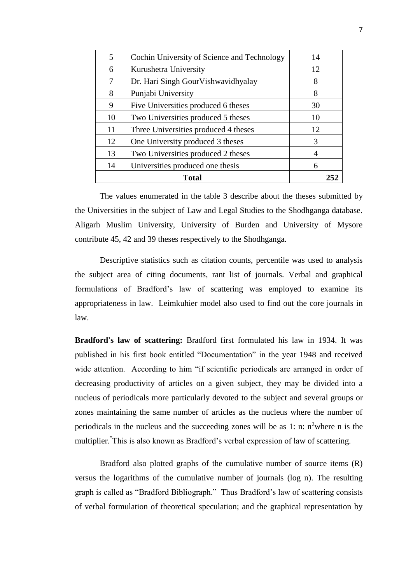| 5  | Cochin University of Science and Technology | 14 |
|----|---------------------------------------------|----|
| 6  | Kurushetra University                       | 12 |
| 7  | Dr. Hari Singh GourVishwavidhyalay          | 8  |
| 8  | Punjabi University                          | 8  |
| 9  | Five Universities produced 6 theses         | 30 |
| 10 | Two Universities produced 5 theses          | 10 |
| 11 | Three Universities produced 4 theses        | 12 |
| 12 | One University produced 3 theses            | 3  |
| 13 | Two Universities produced 2 theses          | 4  |
| 14 | Universities produced one thesis            | 6  |
|    | <b>Total</b>                                |    |

The values enumerated in the table 3 describe about the theses submitted by the Universities in the subject of Law and Legal Studies to the Shodhganga database. Aligarh Muslim University, University of Burden and University of Mysore contribute 45, 42 and 39 theses respectively to the Shodhganga.

Descriptive statistics such as citation counts, percentile was used to analysis the subject area of citing documents, rant list of journals. Verbal and graphical formulations of Bradford's law of scattering was employed to examine its appropriateness in law. Leimkuhier model also used to find out the core journals in law.

**Bradford's law of scattering:** Bradford first formulated his law in 1934. It was published in his first book entitled "Documentation" in the year 1948 and received wide attention. According to him "if scientific periodicals are arranged in order of decreasing productivity of articles on a given subject, they may be divided into a nucleus of periodicals more particularly devoted to the subject and several groups or zones maintaining the same number of articles as the nucleus where the number of periodicals in the nucleus and the succeeding zones will be as 1: n:  $n^2$  where n is the multiplier."This is also known as Bradford's verbal expression of law of scattering.

Bradford also plotted graphs of the cumulative number of source items (R) versus the logarithms of the cumulative number of journals (log n). The resulting graph is called as "Bradford Bibliograph." Thus Bradford's law of scattering consists of verbal formulation of theoretical speculation; and the graphical representation by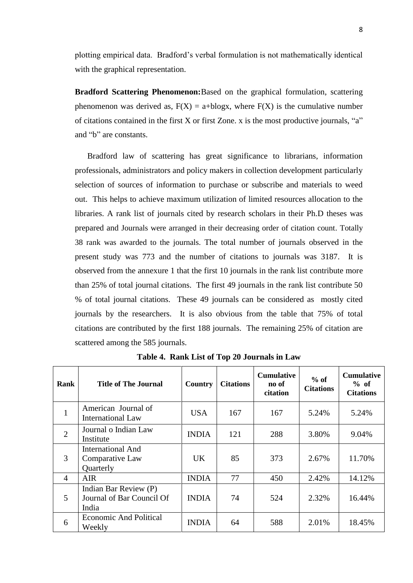plotting empirical data. Bradford's verbal formulation is not mathematically identical with the graphical representation.

**Bradford Scattering Phenomenon:**Based on the graphical formulation, scattering phenomenon was derived as,  $F(X) = a + b \log x$ , where  $F(X)$  is the cumulative number of citations contained in the first X or first Zone. x is the most productive journals, "a" and "b" are constants.

Bradford law of scattering has great significance to librarians, information professionals, administrators and policy makers in collection development particularly selection of sources of information to purchase or subscribe and materials to weed out. This helps to achieve maximum utilization of limited resources allocation to the libraries. A rank list of journals cited by research scholars in their Ph.D theses was prepared and Journals were arranged in their decreasing order of citation count. Totally 38 rank was awarded to the journals. The total number of journals observed in the present study was 773 and the number of citations to journals was 3187. It is observed from the annexure 1 that the first 10 journals in the rank list contribute more than 25% of total journal citations. The first 49 journals in the rank list contribute 50 % of total journal citations. These 49 journals can be considered as mostly cited journals by the researchers. It is also obvious from the table that 75% of total citations are contributed by the first 188 journals. The remaining 25% of citation are scattered among the 585 journals.

| Rank           | <b>Title of The Journal</b>                                 | Country      | <b>Citations</b> | <b>Cumulative</b><br>no of<br>citation | $%$ of<br><b>Citations</b> | <b>Cumulative</b><br>% of<br><b>Citations</b> |
|----------------|-------------------------------------------------------------|--------------|------------------|----------------------------------------|----------------------------|-----------------------------------------------|
| 1              | American Journal of<br><b>International Law</b>             | <b>USA</b>   | 167              | 167                                    | 5.24%                      | 5.24%                                         |
| $\overline{2}$ | Journal o Indian Law<br>Institute                           | <b>INDIA</b> | 121              | 288                                    | 3.80%                      | 9.04%                                         |
| 3              | <b>International And</b><br>Comparative Law<br>Quarterly    | UK.          | 85               | 373                                    | 2.67%                      | 11.70%                                        |
| $\overline{4}$ | <b>AIR</b>                                                  | <b>INDIA</b> | 77               | 450                                    | 2.42%                      | 14.12%                                        |
| 5              | Indian Bar Review (P)<br>Journal of Bar Council Of<br>India | <b>INDIA</b> | 74               | 524                                    | 2.32%                      | 16.44%                                        |
| 6              | <b>Economic And Political</b><br>Weekly                     | <b>INDIA</b> | 64               | 588                                    | 2.01%                      | 18.45%                                        |

**Table 4. Rank List of Top 20 Journals in Law**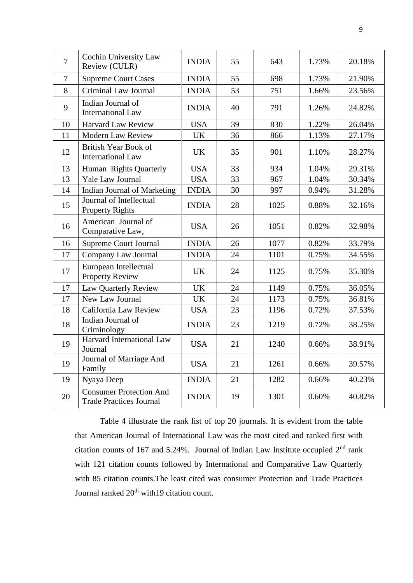| $\overline{7}$ | Cochin University Law<br>Review (CULR)                           | <b>INDIA</b> | 55 | 643  | 1.73% | 20.18% |
|----------------|------------------------------------------------------------------|--------------|----|------|-------|--------|
| $\overline{7}$ | <b>Supreme Court Cases</b>                                       | <b>INDIA</b> | 55 | 698  | 1.73% | 21.90% |
| 8              | Criminal Law Journal                                             | <b>INDIA</b> | 53 | 751  | 1.66% | 23.56% |
| 9              | Indian Journal of<br><b>International Law</b>                    | <b>INDIA</b> | 40 | 791  | 1.26% | 24.82% |
| 10             | <b>Harvard Law Review</b>                                        | <b>USA</b>   | 39 | 830  | 1.22% | 26.04% |
| 11             | <b>Modern Law Review</b>                                         | <b>UK</b>    | 36 | 866  | 1.13% | 27.17% |
| 12             | <b>British Year Book of</b><br><b>International Law</b>          | <b>UK</b>    | 35 | 901  | 1.10% | 28.27% |
| 13             | Human Rights Quarterly                                           | <b>USA</b>   | 33 | 934  | 1.04% | 29.31% |
| 13             | Yale Law Journal                                                 | <b>USA</b>   | 33 | 967  | 1.04% | 30.34% |
| 14             | Indian Journal of Marketing                                      | <b>INDIA</b> | 30 | 997  | 0.94% | 31.28% |
| 15             | Journal of Intellectual<br><b>Property Rights</b>                | <b>INDIA</b> | 28 | 1025 | 0.88% | 32.16% |
| 16             | American Journal of<br>Comparative Law,                          | <b>USA</b>   | 26 | 1051 | 0.82% | 32.98% |
| 16             | <b>Supreme Court Journal</b>                                     | <b>INDIA</b> | 26 | 1077 | 0.82% | 33.79% |
| 17             | Company Law Journal                                              | <b>INDIA</b> | 24 | 1101 | 0.75% | 34.55% |
| 17             | European Intellectual<br><b>Property Review</b>                  | <b>UK</b>    | 24 | 1125 | 0.75% | 35.30% |
| 17             | Law Quarterly Review                                             | <b>UK</b>    | 24 | 1149 | 0.75% | 36.05% |
| 17             | New Law Journal                                                  | <b>UK</b>    | 24 | 1173 | 0.75% | 36.81% |
| 18             | California Law Review                                            | <b>USA</b>   | 23 | 1196 | 0.72% | 37.53% |
| 18             | Indian Journal of<br>Criminology                                 | <b>INDIA</b> | 23 | 1219 | 0.72% | 38.25% |
| 19             | Harvard International Law<br>Journal                             | <b>USA</b>   | 21 | 1240 | 0.66% | 38.91% |
| 19             | Journal of Marriage And<br>Family                                | <b>USA</b>   | 21 | 1261 | 0.66% | 39.57% |
| 19             | Nyaya Deep                                                       | <b>INDIA</b> | 21 | 1282 | 0.66% | 40.23% |
| 20             | <b>Consumer Protection And</b><br><b>Trade Practices Journal</b> | <b>INDIA</b> | 19 | 1301 | 0.60% | 40.82% |

Table 4 illustrate the rank list of top 20 journals. It is evident from the table that American Journal of International Law was the most cited and ranked first with citation counts of 167 and 5.24%. Journal of Indian Law Institute occupied 2nd rank with 121 citation counts followed by International and Comparative Law Quarterly with 85 citation counts.The least cited was consumer Protection and Trade Practices Journal ranked 20<sup>th</sup> with19 citation count.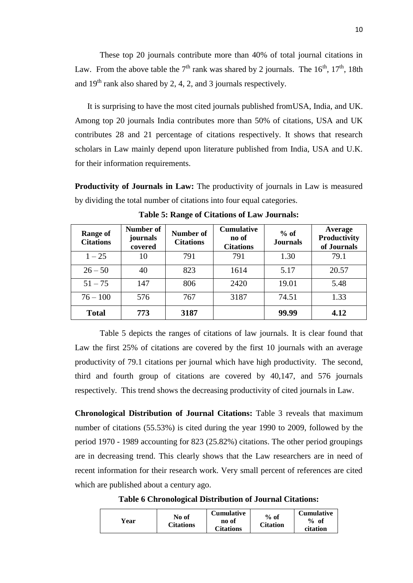These top 20 journals contribute more than 40% of total journal citations in Law. From the above table the  $7<sup>th</sup>$  rank was shared by 2 journals. The  $16<sup>th</sup>$ ,  $17<sup>th</sup>$ , 18th and  $19<sup>th</sup>$  rank also shared by 2, 4, 2, and 3 journals respectively.

It is surprising to have the most cited journals published fromUSA, India, and UK. Among top 20 journals India contributes more than 50% of citations, USA and UK contributes 28 and 21 percentage of citations respectively. It shows that research scholars in Law mainly depend upon literature published from India, USA and U.K. for their information requirements.

**Productivity of Journals in Law:** The productivity of journals in Law is measured by dividing the total number of citations into four equal categories.

| <b>Range of</b><br><b>Citations</b> | Number of<br>journals<br>covered | Number of<br><b>Citations</b> | <b>Cumulative</b><br>no of<br><b>Citations</b> | $%$ of<br><b>Journals</b> | Average<br>Productivity<br>of Journals |
|-------------------------------------|----------------------------------|-------------------------------|------------------------------------------------|---------------------------|----------------------------------------|
| $1 - 25$                            | 10                               | 791                           | 791                                            | 1.30                      | 79.1                                   |
| $26 - 50$                           | 40                               | 823                           | 1614                                           | 5.17                      | 20.57                                  |
| $51 - 75$                           | 147                              | 806                           | 2420                                           | 19.01                     | 5.48                                   |
| $76 - 100$                          | 576                              | 767                           | 3187                                           | 74.51                     | 1.33                                   |
| <b>Total</b>                        | 773                              | 3187                          |                                                | 99.99                     | 4.12                                   |

**Table 5: Range of Citations of Law Journals:**

Table 5 depicts the ranges of citations of law journals. It is clear found that Law the first 25% of citations are covered by the first 10 journals with an average productivity of 79.1 citations per journal which have high productivity. The second, third and fourth group of citations are covered by 40,147, and 576 journals respectively. This trend shows the decreasing productivity of cited journals in Law.

**Chronological Distribution of Journal Citations:** Table 3 reveals that maximum number of citations (55.53%) is cited during the year 1990 to 2009, followed by the period 1970 - 1989 accounting for 823 (25.82%) citations. The other period groupings are in decreasing trend. This clearly shows that the Law researchers are in need of recent information for their research work. Very small percent of references are cited which are published about a century ago.

**Table 6 Chronological Distribution of Journal Citations:**

| Year | No of<br>Citations | <b>Cumulative</b><br>no of<br>Citations | $%$ of<br><b>Citation</b> | <b>Cumulative</b><br>$%$ of<br>citation |
|------|--------------------|-----------------------------------------|---------------------------|-----------------------------------------|
|------|--------------------|-----------------------------------------|---------------------------|-----------------------------------------|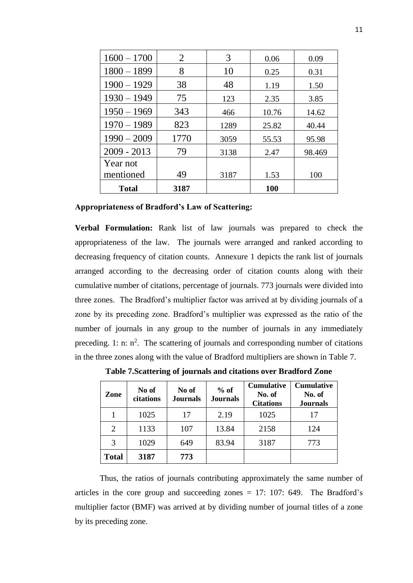| $1600 - 1700$ | 2    | 3    | 0.06       | 0.09   |
|---------------|------|------|------------|--------|
| $1800 - 1899$ | 8    | 10   | 0.25       | 0.31   |
| $1900 - 1929$ | 38   | 48   | 1.19       | 1.50   |
| $1930 - 1949$ | 75   | 123  | 2.35       | 3.85   |
| $1950 - 1969$ | 343  | 466  | 10.76      | 14.62  |
| $1970 - 1989$ | 823  | 1289 | 25.82      | 40.44  |
| $1990 - 2009$ | 1770 | 3059 | 55.53      | 95.98  |
| $2009 - 2013$ | 79   | 3138 | 2.47       | 98.469 |
| Year not      |      |      |            |        |
| mentioned     | 49   | 3187 | 1.53       | 100    |
| <b>Total</b>  | 3187 |      | <b>100</b> |        |

**Appropriateness of Bradford's Law of Scattering:**

**Verbal Formulation:** Rank list of law journals was prepared to check the appropriateness of the law. The journals were arranged and ranked according to decreasing frequency of citation counts. Annexure 1 depicts the rank list of journals arranged according to the decreasing order of citation counts along with their cumulative number of citations, percentage of journals. 773 journals were divided into three zones. The Bradford's multiplier factor was arrived at by dividing journals of a zone by its preceding zone. Bradford's multiplier was expressed as the ratio of the number of journals in any group to the number of journals in any immediately preceding. 1: n:  $n^2$ . The scattering of journals and corresponding number of citations in the three zones along with the value of Bradford multipliers are shown in Table 7.

| Zone                        | No of<br>citations | No of<br><b>Journals</b> | $%$ of<br><b>Journals</b> | <b>Cumulative</b><br>No. of<br><b>Citations</b> | <b>Cumulative</b><br>No. of<br><b>Journals</b> |
|-----------------------------|--------------------|--------------------------|---------------------------|-------------------------------------------------|------------------------------------------------|
|                             | 1025               | 17                       | 2.19                      | 1025                                            |                                                |
| $\mathcal{D}_{\mathcal{L}}$ | 1133               | 107                      | 13.84                     | 2158                                            | 124                                            |
| 3                           | 1029               | 649                      | 83.94                     | 3187                                            | 773                                            |
| <b>Total</b>                | 3187               | 773                      |                           |                                                 |                                                |

**Table 7.Scattering of journals and citations over Bradford Zone**

Thus, the ratios of journals contributing approximately the same number of articles in the core group and succeeding zones = 17: 107: 649. The Bradford's multiplier factor (BMF) was arrived at by dividing number of journal titles of a zone by its preceding zone.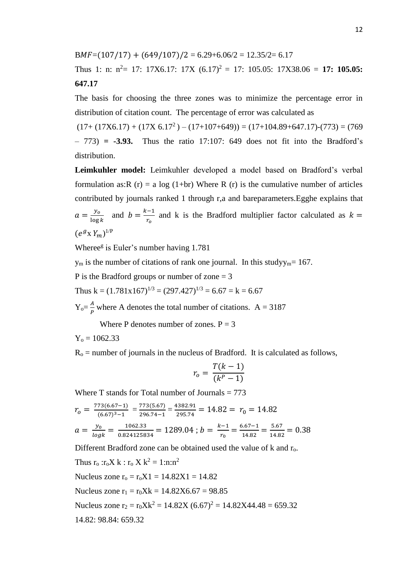$BMF=(107/17) + (649/107)/2 = 6.29 + 6.06/2 = 12.35/2 = 6.17$ 

Thus 1: n:  $n^2$  = 17: 17X6.17: 17X  $(6.17)^2$  = 17: 105.05: 17X38.06 = **17: 105.05: 647.17**

The basis for choosing the three zones was to minimize the percentage error in distribution of citation count. The percentage of error was calculated as

 $(17+(17X6.17)+(17X 6.17<sup>2</sup>)-(17+107+649)) = (17+104.89+647.17)-(773) = (769$ – 773) **= -3.93.** Thus the ratio 17:107: 649 does not fit into the Bradford's distribution.

**Leimkuhler model:** Leimkuhler developed a model based on Bradford's verbal formulation as:R (r) = a log (1+br) Where R (r) is the cumulative number of articles contributed by journals ranked 1 through r,a and bareparameters.Egghe explains that  $a=\frac{y_o}{\ln a}$  $\frac{y_o}{\log k}$  and  $b = \frac{k-1}{r_o}$  $rac{1}{r_o}$  and k is the Bradford multiplier factor calculated as  $k =$  $(e^{g} X Y_m)^{1/P}$ 

Wheree<sup>g</sup> is Euler's number having 1.781

 $y_m$  is the number of citations of rank one journal. In this studyy<sub>m</sub>= 167.

P is the Bradford groups or number of zone = 3

Thus  $k = (1.781x167)^{1/3} = (297.427)^{1/3} = 6.67 = k = 6.67$ 

 $Y_0 = \frac{A}{R}$  $\frac{A}{P}$  where A denotes the total number of citations. A = 3187

Where P denotes number of zones.  $P = 3$ 

 $Y_0 = 1062.33$ 

 $R<sub>o</sub>$  = number of journals in the nucleus of Bradford. It is calculated as follows,

$$
r_o = \frac{T(k-1)}{(k^P - 1)}
$$

Where T stands for Total number of Journals  $= 773$ 

$$
r_0 = \frac{773(6.67-1)}{(6.67)^3 - 1} = \frac{773(5.67)}{296.74 - 1} = \frac{4382.91}{295.74} = 14.82 = r_0 = 14.82
$$
  

$$
a = \frac{y_0}{\log k} = \frac{1062.33}{0.824125834} = 1289.04 ; b = \frac{k-1}{r_0} = \frac{6.67-1}{14.82} = \frac{5.67}{14.82} = 0.38
$$

Different Bradford zone can be obtained used the value of k and r<sub>o</sub>.

Thus  $r_0$ : $r_0X k$ :  $r_0X k^2 = 1$ : $n:n^2$ Nucleus zone  $r_0 = r_0 X1 = 14.82X1 = 14.82$ Nucleus zone  $r_1 = r_0Xk = 14.82X6.67 = 98.85$ Nucleus zone  $r_2 = r_0Xk^2 = 14.82X (6.67)^2 = 14.82X44.48 = 659.32$ 14.82: 98.84: 659.32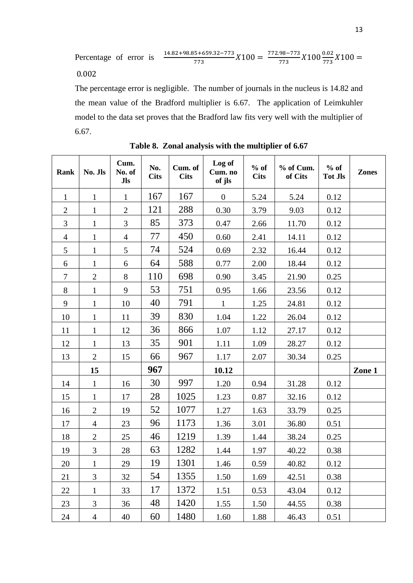Percentage of error is  $\frac{14.82+98.85+659.32-773}{773}X100 = \frac{772.98-773}{773}$  $\frac{98-773}{773}X100\frac{0.02}{773}X100=$ 0.002

The percentage error is negligible. The number of journals in the nucleus is 14.82 and the mean value of the Bradford multiplier is 6.67. The application of Leimkuhler model to the data set proves that the Bradford law fits very well with the multiplier of 6.67.

| <b>Rank</b>    | No. Jls        | Cum.<br>No. of<br>Jls | No.<br><b>Cits</b> | Cum. of<br><b>Cits</b> | Log of<br>Cum. no<br>of jls | $%$ of<br><b>Cits</b> | % of Cum.<br>of Cits | $%$ of<br><b>Tot Jls</b> | <b>Zones</b> |
|----------------|----------------|-----------------------|--------------------|------------------------|-----------------------------|-----------------------|----------------------|--------------------------|--------------|
| $\mathbf{1}$   | $\mathbf{1}$   | $\mathbf{1}$          | 167                | 167                    | $\boldsymbol{0}$            | 5.24                  | 5.24                 | 0.12                     |              |
| $\overline{2}$ | $\mathbf{1}$   | $\overline{2}$        | 121                | 288                    | 0.30                        | 3.79                  | 9.03                 | 0.12                     |              |
| 3              | $\mathbf{1}$   | $\overline{3}$        | 85                 | 373                    | 0.47                        | 2.66                  | 11.70                | 0.12                     |              |
| $\overline{4}$ | $\mathbf{1}$   | $\overline{4}$        | 77                 | 450                    | 0.60                        | 2.41                  | 14.11                | 0.12                     |              |
| 5              | $\mathbf{1}$   | 5                     | 74                 | 524                    | 0.69                        | 2.32                  | 16.44                | 0.12                     |              |
| 6              | $\mathbf{1}$   | 6                     | 64                 | 588                    | 0.77                        | 2.00                  | 18.44                | 0.12                     |              |
| $\overline{7}$ | $\overline{2}$ | 8                     | 110                | 698                    | 0.90                        | 3.45                  | 21.90                | 0.25                     |              |
| 8              | $\mathbf{1}$   | 9                     | 53                 | 751                    | 0.95                        | 1.66                  | 23.56                | 0.12                     |              |
| 9              | $\mathbf{1}$   | 10                    | 40                 | 791                    | $\mathbf{1}$                | 1.25                  | 24.81                | 0.12                     |              |
| 10             | $\mathbf{1}$   | 11                    | 39                 | 830                    | 1.04                        | 1.22                  | 26.04                | 0.12                     |              |
| 11             | $\mathbf{1}$   | 12                    | 36                 | 866                    | 1.07                        | 1.12                  | 27.17                | 0.12                     |              |
| 12             | $\mathbf{1}$   | 13                    | 35                 | 901                    | 1.11                        | 1.09                  | 28.27                | 0.12                     |              |
| 13             | $\overline{2}$ | 15                    | 66                 | 967                    | 1.17                        | 2.07                  | 30.34                | 0.25                     |              |
|                | 15             |                       | 967                |                        | 10.12                       |                       |                      |                          | Zone 1       |
| 14             | $\mathbf{1}$   | 16                    | 30                 | 997                    | 1.20                        | 0.94                  | 31.28                | 0.12                     |              |
| 15             | $\mathbf{1}$   | 17                    | 28                 | 1025                   | 1.23                        | 0.87                  | 32.16                | 0.12                     |              |
| 16             | $\overline{2}$ | 19                    | 52                 | 1077                   | 1.27                        | 1.63                  | 33.79                | 0.25                     |              |
| 17             | $\overline{4}$ | 23                    | 96                 | 1173                   | 1.36                        | 3.01                  | 36.80                | 0.51                     |              |
| 18             | $\mathbf{2}$   | 25                    | 46                 | 1219                   | 1.39                        | 1.44                  | 38.24                | 0.25                     |              |
| 19             | 3              | 28                    | 63                 | 1282                   | 1.44                        | 1.97                  | 40.22                | 0.38                     |              |
| 20             | $\mathbf{1}$   | 29                    | 19                 | 1301                   | 1.46                        | 0.59                  | 40.82                | 0.12                     |              |
| 21             | 3              | 32                    | 54                 | 1355                   | 1.50                        | 1.69                  | 42.51                | 0.38                     |              |
| 22             | 1              | 33                    | 17                 | 1372                   | 1.51                        | 0.53                  | 43.04                | 0.12                     |              |
| 23             | 3              | 36                    | 48                 | 1420                   | 1.55                        | 1.50                  | 44.55                | 0.38                     |              |
| 24             | $\overline{4}$ | 40                    | 60                 | 1480                   | 1.60                        | 1.88                  | 46.43                | 0.51                     |              |

**Table 8. Zonal analysis with the multiplier of 6.67**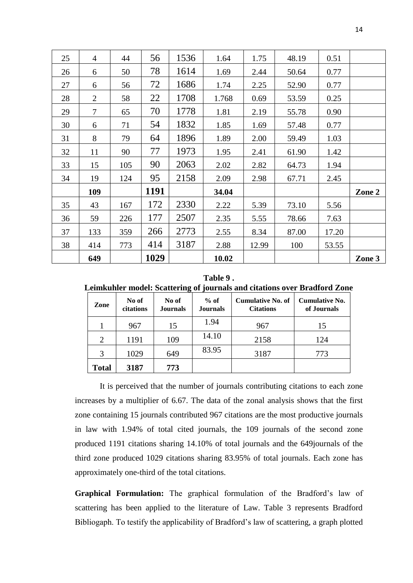|    | 649            |     | 1029 |      | 10.02 |       |       |       | Zone 3 |
|----|----------------|-----|------|------|-------|-------|-------|-------|--------|
| 38 | 414            | 773 | 414  | 3187 | 2.88  | 12.99 | 100   | 53.55 |        |
| 37 | 133            | 359 | 266  | 2773 | 2.55  | 8.34  | 87.00 | 17.20 |        |
| 36 | 59             | 226 | 177  | 2507 | 2.35  | 5.55  | 78.66 | 7.63  |        |
| 35 | 43             | 167 | 172  | 2330 | 2.22  | 5.39  | 73.10 | 5.56  |        |
|    | 109            |     | 1191 |      | 34.04 |       |       |       | Zone 2 |
| 34 | 19             | 124 | 95   | 2158 | 2.09  | 2.98  | 67.71 | 2.45  |        |
| 33 | 15             | 105 | 90   | 2063 | 2.02  | 2.82  | 64.73 | 1.94  |        |
| 32 | 11             | 90  | 77   | 1973 | 1.95  | 2.41  | 61.90 | 1.42  |        |
| 31 | 8              | 79  | 64   | 1896 | 1.89  | 2.00  | 59.49 | 1.03  |        |
| 30 | 6              | 71  | 54   | 1832 | 1.85  | 1.69  | 57.48 | 0.77  |        |
| 29 | $\overline{7}$ | 65  | 70   | 1778 | 1.81  | 2.19  | 55.78 | 0.90  |        |
| 28 | 2              | 58  | 22   | 1708 | 1.768 | 0.69  | 53.59 | 0.25  |        |
| 27 | 6              | 56  | 72   | 1686 | 1.74  | 2.25  | 52.90 | 0.77  |        |
| 26 | 6              | 50  | 78   | 1614 | 1.69  | 2.44  | 50.64 | 0.77  |        |
| 25 | $\overline{4}$ | 44  | 56   | 1536 | 1.64  | 1.75  | 48.19 | 0.51  |        |

**Table 9 . Leimkuhler model: Scattering of journals and citations over Bradford Zone**

| Zone           | No of<br>citations | No of<br><b>Journals</b> | $%$ of<br><b>Journals</b> | <b>Cumulative No. of</b><br><b>Citations</b> | <b>Cumulative No.</b><br>of Journals |  |
|----------------|--------------------|--------------------------|---------------------------|----------------------------------------------|--------------------------------------|--|
|                | 967                | 15                       | 1.94                      | 967                                          | 15                                   |  |
| $\overline{2}$ | 1191               | 109                      | 14.10                     | 2158                                         | 124                                  |  |
| 3              | 1029               | 649                      | 83.95                     | 3187                                         | 773                                  |  |
| Total          | 3187               | 773                      |                           |                                              |                                      |  |

It is perceived that the number of journals contributing citations to each zone increases by a multiplier of 6.67. The data of the zonal analysis shows that the first zone containing 15 journals contributed 967 citations are the most productive journals in law with 1.94% of total cited journals, the 109 journals of the second zone produced 1191 citations sharing 14.10% of total journals and the 649journals of the third zone produced 1029 citations sharing 83.95% of total journals. Each zone has approximately one-third of the total citations.

**Graphical Formulation:** The graphical formulation of the Bradford's law of scattering has been applied to the literature of Law. Table 3 represents Bradford Bibliogaph. To testify the applicability of Bradford's law of scattering, a graph plotted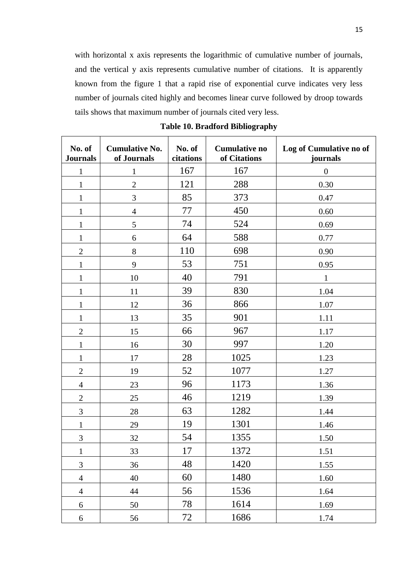with horizontal x axis represents the logarithmic of cumulative number of journals, and the vertical y axis represents cumulative number of citations. It is apparently known from the figure 1 that a rapid rise of exponential curve indicates very less number of journals cited highly and becomes linear curve followed by droop towards tails shows that maximum number of journals cited very less.

| <b>Cumulative No.</b><br>No. of<br><b>Journals</b><br>of Journals |                | No. of<br>citations | <b>Cumulative no</b><br>of Citations | Log of Cumulative no of<br>journals |  |
|-------------------------------------------------------------------|----------------|---------------------|--------------------------------------|-------------------------------------|--|
| $\mathbf{1}$                                                      | $\mathbf{1}$   | 167                 | 167                                  | $\boldsymbol{0}$                    |  |
| $\mathbf{1}$                                                      | $\sqrt{2}$     | 121                 | 288                                  | 0.30                                |  |
| $\mathbf{1}$                                                      | 3              | 85                  | 373                                  | 0.47                                |  |
| $\mathbf{1}$                                                      | $\overline{4}$ | 77                  | 450                                  | 0.60                                |  |
| $\mathbf{1}$                                                      | 5              | 74                  | 524                                  | 0.69                                |  |
| $\mathbf{1}$                                                      | 6              | 64                  | 588                                  | 0.77                                |  |
| $\overline{c}$                                                    | 8              | 110                 | 698                                  | 0.90                                |  |
| $\mathbf{1}$                                                      | 9              | 53                  | 751                                  | 0.95                                |  |
| $\mathbf{1}$                                                      | 10             | 40                  | 791                                  | 1                                   |  |
| $\mathbf{1}$                                                      | 11             | 39                  | 830                                  | 1.04                                |  |
| $\mathbf{1}$                                                      | 12             | 36                  | 866                                  | 1.07                                |  |
| $\mathbf{1}$                                                      | 13             | 35                  | 901                                  | 1.11                                |  |
| $\mathbf{2}$                                                      | 15             | 66                  | 967                                  | 1.17                                |  |
| $\mathbf{1}$                                                      | 16             | 30                  | 997                                  | 1.20                                |  |
| $\mathbf{1}$                                                      | 17             | 28                  | 1025                                 | 1.23                                |  |
| $\overline{c}$                                                    | 19             | 52                  | 1077                                 | 1.27                                |  |
| $\overline{4}$                                                    | 23             | 96                  | 1173                                 | 1.36                                |  |
| $\mathbf{2}$                                                      | 25             | 46                  | 1219                                 | 1.39                                |  |
| $\mathfrak{Z}$                                                    | 28             | 63                  | 1282                                 | 1.44                                |  |
| $\mathbf{1}$                                                      | 29             | 19                  | 1301                                 | 1.46                                |  |
| $\mathfrak{Z}$                                                    | 32             | 54                  | 1355                                 | 1.50                                |  |
| $\mathbf 1$                                                       | 33             | 17                  | 1372                                 | 1.51                                |  |
| 3                                                                 | 36             | 48                  | 1420                                 | 1.55                                |  |
| $\overline{4}$                                                    | 40             | 60                  | 1480                                 | 1.60                                |  |
| $\overline{4}$                                                    | 44             | 56                  | 1536                                 | 1.64                                |  |
| 6                                                                 | 50             | 78                  | 1614                                 | 1.69                                |  |
| 6                                                                 | 56             | 72                  | 1686                                 | 1.74                                |  |

**Table 10. Bradford Bibliography**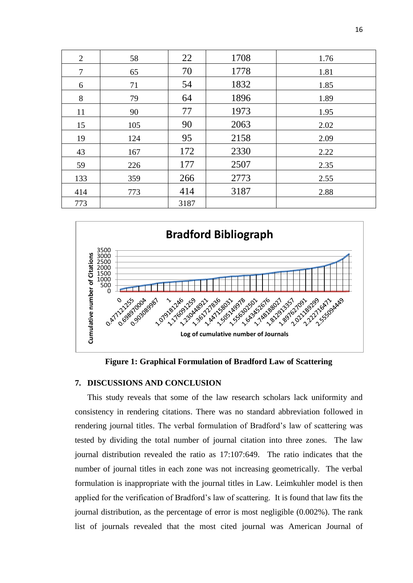| $\overline{2}$ | 58  | 22   | 1708 | 1.76 |
|----------------|-----|------|------|------|
| 7              | 65  | 70   | 1778 | 1.81 |
| 6              | 71  | 54   | 1832 | 1.85 |
| 8              | 79  | 64   | 1896 | 1.89 |
| 11             | 90  | 77   | 1973 | 1.95 |
| 15             | 105 | 90   | 2063 | 2.02 |
| 19             | 124 | 95   | 2158 | 2.09 |
| 43             | 167 | 172  | 2330 | 2.22 |
| 59             | 226 | 177  | 2507 | 2.35 |
| 133            | 359 | 266  | 2773 | 2.55 |
| 414            | 773 | 414  | 3187 | 2.88 |
| 773            |     | 3187 |      |      |





## **7. DISCUSSIONS AND CONCLUSION**

This study reveals that some of the law research scholars lack uniformity and consistency in rendering citations. There was no standard abbreviation followed in rendering journal titles. The verbal formulation of Bradford's law of scattering was tested by dividing the total number of journal citation into three zones. The law journal distribution revealed the ratio as 17:107:649. The ratio indicates that the number of journal titles in each zone was not increasing geometrically. The verbal formulation is inappropriate with the journal titles in Law. Leimkuhler model is then applied for the verification of Bradford's law of scattering. It is found that law fits the journal distribution, as the percentage of error is most negligible (0.002%). The rank list of journals revealed that the most cited journal was American Journal of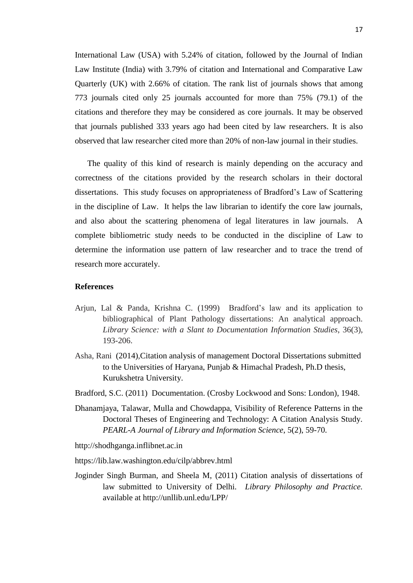International Law (USA) with 5.24% of citation, followed by the Journal of Indian Law Institute (India) with 3.79% of citation and International and Comparative Law Quarterly (UK) with 2.66% of citation. The rank list of journals shows that among 773 journals cited only 25 journals accounted for more than 75% (79.1) of the citations and therefore they may be considered as core journals. It may be observed that journals published 333 years ago had been cited by law researchers. It is also observed that law researcher cited more than 20% of non-law journal in their studies.

The quality of this kind of research is mainly depending on the accuracy and correctness of the citations provided by the research scholars in their doctoral dissertations. This study focuses on appropriateness of Bradford's Law of Scattering in the discipline of Law. It helps the law librarian to identify the core law journals, and also about the scattering phenomena of legal literatures in law journals. A complete bibliometric study needs to be conducted in the discipline of Law to determine the information use pattern of law researcher and to trace the trend of research more accurately.

#### **References**

- Arjun, Lal & Panda, Krishna C. (1999) Bradford's law and its application to bibliographical of Plant Pathology dissertations: An analytical approach. *Library Science: with a Slant to Documentation Information Studies*, 36(3), 193-206.
- Asha, Rani (2014),Citation analysis of management Doctoral Dissertations submitted to the Universities of Haryana, Punjab & Himachal Pradesh, Ph.D thesis, Kurukshetra University.
- Bradford, S.C. (2011) Documentation. (Crosby Lockwood and Sons: London), 1948.
- Dhanamjaya, Talawar, Mulla and Chowdappa, Visibility of Reference Patterns in the Doctoral Theses of Engineering and Technology: A Citation Analysis Study. *PEARL-A Journal of Library and Information Science*, 5(2), 59-70.
- http://shodhganga.inflibnet.ac.in
- https://lib.law.washington.edu/cilp/abbrev.html
- Joginder Singh Burman, and Sheela M, (2011) Citation analysis of dissertations of law submitted to University of Delhi*. Library Philosophy and Practice.* available at http://unllib.unl.edu/LPP/